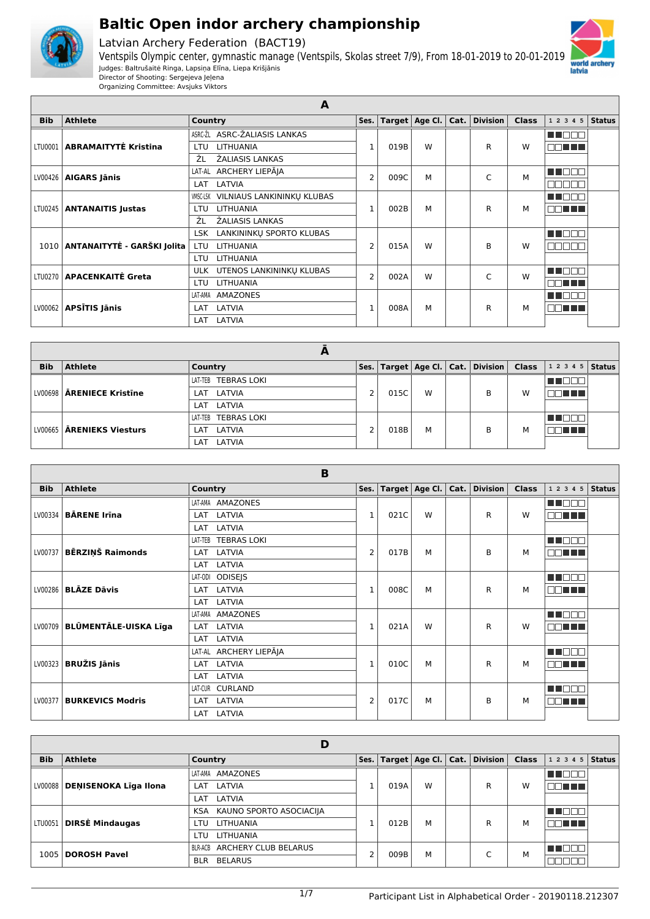

Latvian Archery Federation (BACT19)





|            |                                    | A                                      |                |      |                        |      |          |              |                      |               |
|------------|------------------------------------|----------------------------------------|----------------|------|------------------------|------|----------|--------------|----------------------|---------------|
| <b>Bib</b> | <b>Athlete</b>                     | Country                                | Ses.           |      | Target $ $ Age Cl. $ $ | Cat. | Division | <b>Class</b> | 12345                | <b>Status</b> |
|            |                                    | ASRC-ŽL ASRC-ŽALIASIS LANKAS           |                |      |                        |      |          |              | THE EIL              |               |
|            | LTU0001   ABRAMAITYTĖ Kristina     | <b>LITHUANIA</b><br>LTU                | $\mathbf{1}$   | 019B | W                      |      | R        | W            | <b>DOMINIA</b>       |               |
|            |                                    | ŽL<br>ŽALIASIS LANKAS                  |                |      |                        |      |          |              |                      |               |
|            | $LV00426$   AIGARS Jānis           | LAT-AL ARCHERY LIEPĀJA                 | $\overline{2}$ | 009C | м                      |      | C        | М            | MA DI DI DI          |               |
|            |                                    | LATVIA<br>LAT                          |                |      |                        |      |          |              | 700C                 |               |
|            |                                    | VILNIAUS LANKININKU KLUBAS<br>VMSC-LSK |                |      |                        |      |          |              | TE ELECT             |               |
| LTU0245    | <b>ANTANAITIS Justas</b>           | <b>LITHUANIA</b><br>LTU                | $\mathbf{1}$   | 002B | м                      |      | R        | М            | 71 I I I             |               |
|            |                                    | ŽL<br>ŽALIASIS LANKAS                  |                |      |                        |      |          |              |                      |               |
|            |                                    | LANKININKŲ SPORTO KLUBAS<br>LSK        |                |      |                        |      |          |              | TELEL                |               |
|            | 1010   ANTANAITYTĖ - GARŠKI Jolita | <b>LITHUANIA</b><br>LTU                | $\overline{2}$ | 015A | W                      |      | B        | W            | 30 E<br>$\mathbb{I}$ |               |
|            |                                    | <b>LITHUANIA</b><br>LTU                |                |      |                        |      |          |              |                      |               |
|            | LTU0270   APACENKAITĖ Greta        | UTENOS LANKININKŲ KLUBAS<br><b>ULK</b> | $\overline{2}$ | 002A | W                      |      | C        | W            | TERRE                |               |
| LV00062    |                                    | <b>LITHUANIA</b><br>LTU                |                |      |                        |      |          |              |                      |               |
|            |                                    | AMAZONES<br>LAT-AMA                    | $\mathbf{1}$   |      |                        |      |          |              | TERR                 |               |
|            | <b>APSĪTIS Jānis</b>               | LATVIA<br>LAT                          |                | 008A | м                      |      | R        | М            | 70 O O O             |               |
|            |                                    | LATVIA<br>LAT                          |                |      |                        |      |          |              |                      |               |

|            |                             | −                    |      |      |   |                                                                       |   |                |  |
|------------|-----------------------------|----------------------|------|------|---|-----------------------------------------------------------------------|---|----------------|--|
| <b>Bib</b> | <b>Athlete</b>              | Country              | Ses. |      |   | $\mid$ Target $\mid$ Age Cl. $\mid$ Cat. $\mid$ Division $\mid$ Class |   | $12345$ Status |  |
|            |                             | LAT-TEB TEBRAS LOKI  |      |      |   |                                                                       |   |                |  |
|            | LV00698   ARENIECE Kristine | LAT LATVIA           | 2    | 015C | W | B                                                                     | W | THE            |  |
|            |                             | LAT LATVIA           |      |      |   |                                                                       |   |                |  |
|            |                             | LAT-TEB TEBRAS LOKI  |      |      |   |                                                                       |   |                |  |
| LV00665    | ĀRENIEKS Viesturs           | LAT LATVIA           | 2    | 018B | M | B                                                                     | м |                |  |
|            |                             | <b>LATVIA</b><br>LAT |      |      |   |                                                                       |   |                |  |

|            |                              | B                             |                           |      |                        |      |                 |              |               |               |   |          |  |
|------------|------------------------------|-------------------------------|---------------------------|------|------------------------|------|-----------------|--------------|---------------|---------------|---|----------|--|
| <b>Bib</b> | <b>Athlete</b>               | <b>Country</b>                | Ses.                      |      | Target $ $ Age Cl. $ $ | Cat. | <b>Division</b> | <b>Class</b> | 1 2 3 4 5     | <b>Status</b> |   |          |  |
|            |                              | LAT-AMA AMAZONES              |                           |      |                        |      |                 |              | n na na       |               |   |          |  |
| LV00334    | <b>BÅRENE Irina</b>          | LATVIA<br>LAT                 | $\mathbf 1$               | 021C | W                      |      | R               | W            | MA TILLI      |               |   |          |  |
|            |                              | LATVIA<br>LAT                 |                           |      |                        |      |                 |              |               |               |   |          |  |
|            |                              | <b>TEBRAS LOKI</b><br>LAT-TEB |                           |      |                        |      |                 |              | M DE E        |               |   |          |  |
| LV00737    | <b>BĒRZIŅŠ Raimonds</b>      | LATVIA<br>LAT                 | 2                         | 017B | М                      |      | B               | м            | <b>NOTHER</b> |               |   |          |  |
|            |                              | LATVIA<br>LAT                 |                           |      |                        |      |                 |              |               |               |   |          |  |
|            |                              | <b>ODISEJS</b><br>LAT-ODI     |                           |      |                        |      |                 |              | MT E E E      |               |   |          |  |
| LV00286    | <b>BLĀZE Dāvis</b>           | LATVIA<br>LAT                 | $\mathbf{1}$<br>008C<br>M |      | R                      | М    | <b>NBL HIM</b>  |              |               |               |   |          |  |
|            |                              | LATVIA<br>LAT                 |                           |      |                        |      |                 |              |               |               |   |          |  |
|            |                              | <b>AMAZONES</b><br>LAT-AMA    |                           |      |                        |      |                 |              | M DE L        |               |   |          |  |
| LV00709    | <b>BLÜMENTÄLE-UISKA Līga</b> | LATVIA<br>LAT                 | $\mathbf{1}$              | 021A | W                      |      | R               | W            | n na m<br>mг  |               |   |          |  |
|            |                              | LAT<br>LATVIA                 |                           |      |                        |      |                 |              |               |               |   |          |  |
|            |                              | LAT-AL ARCHERY LIEPĀJA        |                           |      |                        |      |                 |              | MN OO O       |               |   |          |  |
| LV00323    | <b>BRUŽIS Jānis</b>          | LATVIA<br>LAT                 | $\mathbf{1}$              | 010C | М                      |      | R               | М            | ma mata       |               |   |          |  |
|            |                              | LATVIA<br>LAT                 |                           |      |                        |      |                 |              |               |               |   |          |  |
|            |                              | <b>CURLAND</b><br>LAT-CUR     |                           |      |                        |      |                 |              | M DOG         |               |   |          |  |
| LV00377    | <b>BURKEVICS Modris</b>      | LATVIA<br>LAT                 | 2                         | 017C |                        |      | М               |              | B             |               | м | TI TITLE |  |
|            |                              | LATVIA<br>LAT                 |                           |      |                        |      |                 |              |               |               |   |          |  |

|            |                              | D                                     |      |      |   |                                          |              |                |         |  |
|------------|------------------------------|---------------------------------------|------|------|---|------------------------------------------|--------------|----------------|---------|--|
| <b>Bib</b> | <b>Athlete</b>               | Country                               | Ses. |      |   | Target $ $ Age Cl. $ $ Cat. $ $ Division | <b>Class</b> | $12345$ Status |         |  |
|            |                              | AMAZONES<br>LAT-AMA                   |      |      |   |                                          |              |                |         |  |
| LV00088    | <b>DENISENOKA Līga Ilona</b> | LATVIA<br>LAT                         |      | 019A | W | R                                        | W            | n din bir      |         |  |
|            |                              | LATVIA<br>LAT                         |      |      |   |                                          |              |                |         |  |
|            |                              | KAUNO SPORTO ASOCIACIJA<br><b>KSA</b> |      |      |   |                                          |              |                |         |  |
| LTU0051    | DIRSĖ Mindaugas              | LITHUANIA<br>LTU                      |      | 012B | М | R                                        | м            | NN TIN         |         |  |
|            |                              | <b>LITHUANIA</b><br>LTU               |      |      |   |                                          |              |                |         |  |
| 1005       |                              | BLR-ACB ARCHERY CLUB BELARUS          | ∍    | 009B | М |                                          | ╭            | M              | 11 I DI |  |
|            | <b>DOROSH Pavel</b>          | <b>BELARUS</b><br><b>BLR</b>          |      |      |   |                                          |              |                |         |  |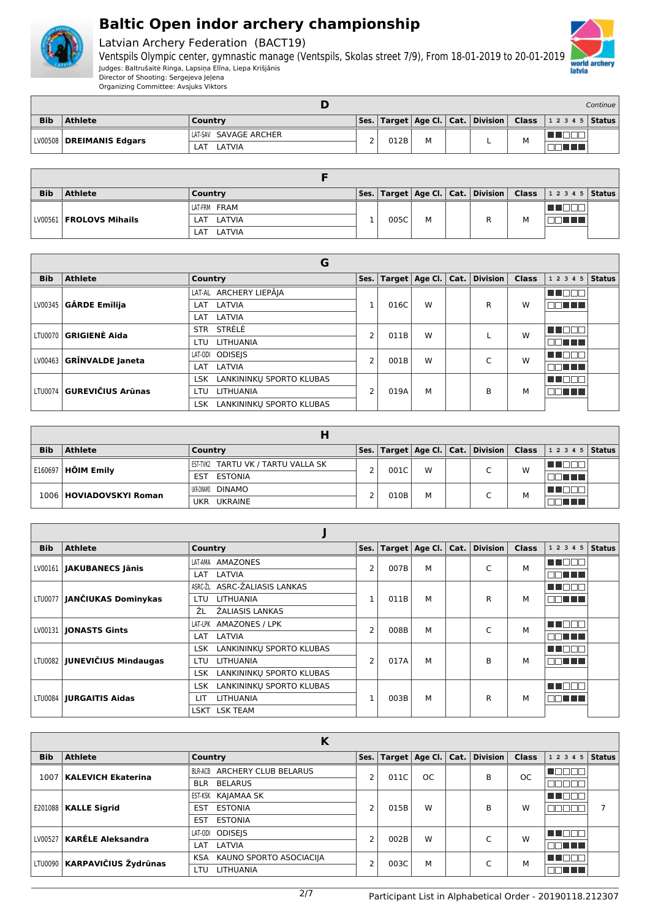



Latvian Archery Federation (BACT19)

Ventspils Olympic center, gymnastic manage (Ventspils, Skolas street 7/9), From 18-01-2019 to 20-01-2019 Judges: Baltrušaitė Ringa, Lapsiņa Elīna, Liepa Krišjānis Director of Shooting: Sergejeva Jeļena

|            |                            |                       |      |   |  |     |                                                                                                                                  | Continue I |
|------------|----------------------------|-----------------------|------|---|--|-----|----------------------------------------------------------------------------------------------------------------------------------|------------|
| <b>Bib</b> | <b>Athlete</b>             | Country               |      |   |  |     | $\vert$ Ses. $\vert$ Target $\vert$ Age Cl. $\vert$ Cat. $\vert$ Division $\vert$ Class $\vert$ 1 2 3 4 5 $\vert$ Status $\vert$ |            |
|            | LV00508   DREIMANIS Edgars | LAT-SAV SAVAGE ARCHER | 012B | M |  |     |                                                                                                                                  |            |
|            |                            | LATVIA<br>LAT         |      |   |  | ΙVΙ |                                                                                                                                  |            |

| <b>Bib</b> | <b>Athlete</b>            | Country       | Ses. |      |   |  |   | Target   Age Cl.   Cat.   Division   Class   1 2 3 4 5   Status |  |
|------------|---------------------------|---------------|------|------|---|--|---|-----------------------------------------------------------------|--|
|            |                           | LAT-FRM FRAM  |      |      |   |  |   |                                                                 |  |
|            | LV00561   FROLOVS Mihails | LAT LATVIA    |      | 005C | М |  | M |                                                                 |  |
|            |                           | LATVIA<br>LAT |      |      |   |  |   |                                                                 |  |

|            |                              | G                                      |      |      |   |  |                                              |              |                    |  |
|------------|------------------------------|----------------------------------------|------|------|---|--|----------------------------------------------|--------------|--------------------|--|
| <b>Bib</b> | <b>Athlete</b>               | Country                                | Ses. |      |   |  | Target $ $ Age Cl. $ $ Cat. $ $ Division $ $ | <b>Class</b> | 1 2 3 4 5   Status |  |
|            |                              | LAT-AL ARCHERY LIEPĀJA                 |      |      |   |  |                                              |              | M DOO              |  |
| LV00345    | GĀRDE Emīlija                | LAT LATVIA                             |      | 016C | W |  | R                                            | W            | EN HEL             |  |
|            |                              | LATVIA<br>LAT                          |      |      |   |  |                                              |              |                    |  |
|            | LTU0070 <b>GRIGIENĖ Aida</b> | STR STRELE                             | 2    | 011B | W |  |                                              | W            | n Tibel B          |  |
|            |                              | LITHUANIA<br>LTU.                      |      |      |   |  |                                              |              | nn a bh            |  |
|            |                              | LAT-ODI ODISEIS                        | 2    | 001B | W |  | C                                            | W            | M DOO              |  |
|            | LV00463   GRĪNVALDE Janeta   | LATVIA<br>LAT                          |      |      |   |  |                                              |              | nn an D            |  |
|            |                              | LANKININKŲ SPORTO KLUBAS<br><b>LSK</b> |      |      |   |  |                                              |              | n de e             |  |
|            | LTU0074 GUREVIČIUS Arūnas    | <b>LITHUANIA</b><br>LTU                | 2    | 019A | М |  | B                                            | М            | 70 O O             |  |
|            |                              | LANKININKU SPORTO KLUBAS<br>LSK.       |      |      |   |  |                                              |              |                    |  |

| <b>Bib</b> | <b>Athlete</b>            | Country                            |  |      |      |  | Ses.   Target   Age Cl.   Cat.   Division |   | <b>Class</b> $ 12345 $ Status |  |            |  |
|------------|---------------------------|------------------------------------|--|------|------|--|-------------------------------------------|---|-------------------------------|--|------------|--|
| E160697    | <b>HÕIM Emily</b>         | EST-TVK2 TARTU VK / TARTU VALLA SK |  | 001C | W    |  | $\sqrt{2}$                                | W |                               |  |            |  |
|            |                           | ESTONIA<br>EST                     |  |      |      |  |                                           |   | THE LET                       |  |            |  |
|            |                           | UKR-DINAMO <b>DINAMO</b>           |  |      |      |  | $\sqrt{2}$                                | M |                               |  |            |  |
|            | 1006   HOVIADOVSKYI Roman | <b>UKRAINE</b><br>UKR.             |  |      | 010B |  | М                                         |   |                               |  | a katika T |  |

| <b>Bib</b> | <b>Athlete</b>                   | Country                                | Ses.           |      | Target $ $ Age Cl. $ $ Cat. $ $ |   | Division | <b>Class</b> | 1 2 3 4 5      | <b>Status</b> |
|------------|----------------------------------|----------------------------------------|----------------|------|---------------------------------|---|----------|--------------|----------------|---------------|
|            | LV00161   JAKUBANECS Jānis       | AMAZONES<br>LAT-AMA                    | 2              | 007B | М                               |   | C        | M            | man man        |               |
|            |                                  | LATVIA<br>LAT                          |                |      |                                 |   |          |              | nn an L        |               |
|            |                                  | ASRC-ŽL ASRC-ŽALIASIS LANKAS           |                |      |                                 |   |          |              | MA BER         |               |
|            | LTU0077   JANČIUKAS Dominykas    | LITHUANIA<br><b>LTU</b>                |                | 011B | М                               |   | R        | м            | 70 <b>A 17</b> |               |
|            |                                  | ŽL<br>ŽALIASIS LANKAS                  |                |      |                                 |   |          |              |                |               |
|            | LV00131   JONASTS Gints          | LAT-LPK AMAZONES / LPK                 | $\overline{2}$ | 008B | М                               |   | C        | M            | n na man       |               |
|            |                                  | LATVIA<br>LAT                          |                |      |                                 |   |          |              | nn nn n        |               |
|            |                                  | LANKININKU SPORTO KLUBAS<br><b>LSK</b> |                |      |                                 |   |          |              | N NOON         |               |
|            | LTU0082   JUNEVIČIUS Mindaugas   | LITHUANIA<br>LTU.                      | 2              | 017A | М                               |   | B        | м            | FIFI II I      |               |
|            |                                  | LANKININKŲ SPORTO KLUBAS<br>LSK.       |                |      |                                 |   |          |              |                |               |
|            |                                  | LANKININKU SPORTO KLUBAS<br>LSK.       |                |      |                                 |   |          |              | maan a         |               |
|            | LTU0084   <b>JURGAITIS Aidas</b> | <b>LITHUANIA</b><br>LІТ                |                | 003B | М                               | R |          | М            |                |               |
|            |                                  | LSKT LSK TEAM                          |                |      |                                 |   |          |              |                |               |

|            |                                | Κ                                     |                |      |           |                          |                                    |               |              |               |
|------------|--------------------------------|---------------------------------------|----------------|------|-----------|--------------------------|------------------------------------|---------------|--------------|---------------|
| <b>Bib</b> | <b>Athlete</b>                 | Country                               | Ses.           |      |           |                          | Target   Age Cl.   Cat.   Division | <b>Class</b>  | 1 2 3 4 5    | <b>Status</b> |
| 1007       | <b>KALEVICH Ekaterina</b>      | BLR-ACB ARCHERY CLUB BELARUS          | $\overline{2}$ | 011C | <b>OC</b> |                          | B                                  | <sub>OC</sub> |              |               |
|            |                                | <b>BLR BELARUS</b>                    |                |      |           |                          |                                    |               | - 11 - 11    |               |
|            |                                | EST-KSK KAJAMAA SK                    |                |      |           |                          |                                    |               | MD D         |               |
| E201088    | <b>KALLE Sigrid</b>            | <b>ESTONIA</b><br>EST                 | $\overline{2}$ | 015B | W         |                          | B                                  | W             | 70L          |               |
|            |                                | <b>ESTONIA</b><br>EST                 |                |      |           |                          |                                    |               |              |               |
| LV00527    | <b>KARĒLE Aleksandra</b>       | <b>ODISEIS</b><br>LAT-ODI             | $\overline{2}$ | 002B | W         |                          | $\sqrt{2}$                         | W             | Ш            |               |
|            |                                | LATVIA<br>LAT                         |                |      |           |                          |                                    |               | nn ni        |               |
|            |                                | KAUNO SPORTO ASOCIACIJA<br><b>KSA</b> | 2              |      |           | $\overline{\phantom{0}}$ |                                    | М             | N N T<br>H L |               |
|            | LTU0090   KARPAVIČIUS Žydrūnas | <b>LITHUANIA</b><br>LTU.              |                | 003C | M         |                          |                                    |               | N TINT       |               |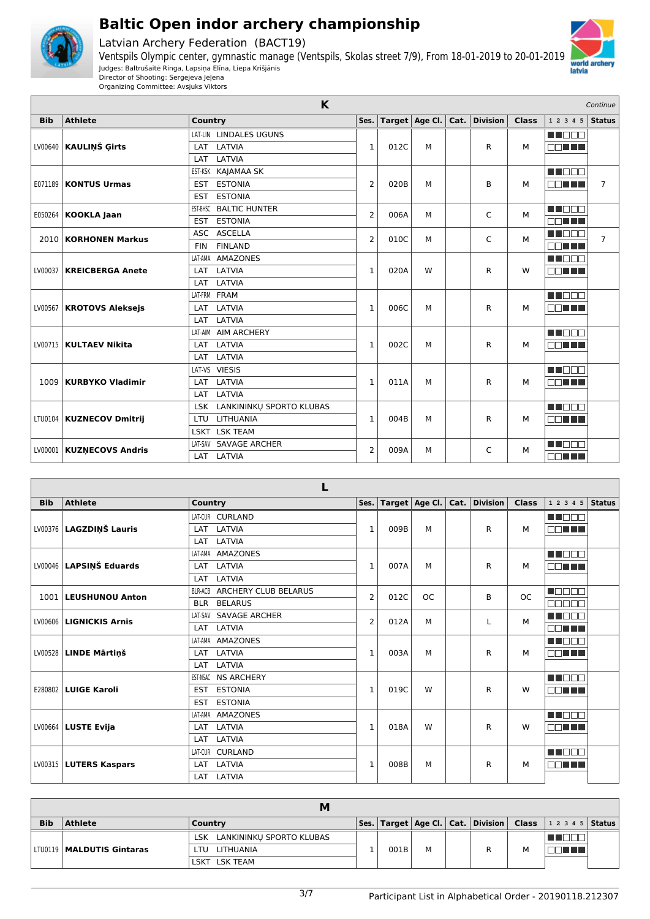

Latvian Archery Federation (BACT19)





|            |                            | K                                      |                |      |                        |               |              |                     | Continue       |
|------------|----------------------------|----------------------------------------|----------------|------|------------------------|---------------|--------------|---------------------|----------------|
| <b>Bib</b> | <b>Athlete</b>             | Country                                | Ses.           |      | Target $ $ Age Cl. $ $ | Cat. Division | <b>Class</b> | 1 2 3 4 5           | <b>Status</b>  |
|            |                            | LAT-LIN LINDALES UGUNS                 |                |      |                        |               |              | n Toba              |                |
| LV00640    | <b>KAULINŠ Girts</b>       | LATVIA<br>LAT                          | $\mathbf{1}$   | 012C | M                      | R             | М            | nn nn n             |                |
|            |                            | LATVIA<br>LAT                          |                |      |                        |               |              |                     |                |
|            |                            | EST-KSK KAJAMAA SK                     |                |      |                        |               |              | MA DEL BI           |                |
| E071189    | <b>KONTUS Urmas</b>        | <b>ESTONIA</b><br><b>EST</b>           | $\overline{2}$ | 020B | M                      | B             | М            | man a s             | $\overline{7}$ |
|            |                            | <b>ESTONIA</b><br><b>EST</b>           |                |      |                        |               |              |                     |                |
| E050264    | <b>KOOKLA Jaan</b>         | <b>BALTIC HUNTER</b><br>EST-BHSC       | 2              | 006A | м                      | C             | М            | MN 888              |                |
|            |                            | <b>ESTONIA</b><br><b>EST</b>           |                |      |                        |               |              | nn an L             |                |
| 2010 l     | <b>KORHONEN Markus</b>     | ASC ASCELLA                            | $\overline{2}$ | 010C | м                      | C             | М            | MA MARI             | $\overline{7}$ |
|            |                            | <b>FINLAND</b><br><b>FIN</b>           |                |      |                        |               |              | E E E E E           |                |
|            |                            | <b>AMAZONES</b><br>LAT-AMA             |                |      |                        |               |              | MA DO D             |                |
| LV00037    | <b>KREICBERGA Anete</b>    | LATVIA<br>LAT                          | $\mathbf{1}$   | 020A | W                      | R             | W            | man ma              |                |
|            |                            | LATVIA<br>LAT                          |                |      |                        |               |              |                     |                |
|            |                            | LAT-FRM FRAM                           |                |      |                        |               |              | M NOCH              |                |
| LV00567    | <b>KROTOVS Aleksejs</b>    | LAT<br>LATVIA                          | $\mathbf{1}$   | 006C | м                      | R             | М            | <b>REDISTRIBUTE</b> |                |
|            |                            | LATVIA<br>LAT                          |                |      |                        |               |              |                     |                |
|            |                            | LAT-AIM AIM ARCHERY                    |                |      |                        |               |              | M DE E              |                |
| LV00715    | <b>KULTAEV Nikita</b>      | LATVIA<br>LAT                          | $\mathbf{1}$   | 002C | М                      | R             | М            | man ma              |                |
|            |                            | LATVIA<br>LAT                          |                |      |                        |               |              |                     |                |
|            |                            | LAT-VS VIESIS                          |                |      |                        |               |              | M DE E              |                |
| 1009       | <b>KURBYKO Vladimir</b>    | LATVIA<br>LAT                          | $\mathbf{1}$   | 011A | М                      | R             | М            | nn nn n             |                |
|            |                            | LATVIA<br>LAT                          |                |      |                        |               |              |                     |                |
|            |                            | LANKININKU SPORTO KLUBAS<br><b>LSK</b> |                |      |                        |               |              | M DO S              |                |
|            | LTU0104   KUZNECOV Dmitrij | LITHUANIA<br>LTU                       | $\mathbf{1}$   | 004B | M                      | R             | м            | MA TILLI            |                |
|            |                            | LSKT LSK TEAM                          |                |      |                        |               |              |                     |                |
| LV00001    | <b>KUZNECOVS Andris</b>    | <b>SAVAGE ARCHER</b><br>LAT-SAV        | $\overline{2}$ | 009A | М                      | C             | М            | n de s              |                |
|            |                            | LAT LATVIA                             |                |      |                        |               |              | e de la c           |                |
|            |                            |                                        |                |      |                        |               |              |                     |                |

|            |                               | L                               |                |      |                        |               |              |                  |        |
|------------|-------------------------------|---------------------------------|----------------|------|------------------------|---------------|--------------|------------------|--------|
| <b>Bib</b> | <b>Athlete</b>                | Country                         | Ses. $ $       |      | Target $ $ Age Cl. $ $ | Cat. Division | <b>Class</b> | 1 2 3 4 5        | Status |
|            |                               | LAT-CUR CURLAND                 |                |      |                        |               |              | man na           |        |
|            | LV00376   LAGZDIŅŠ Lauris     | LATVIA<br>LAT                   | 1              | 009B | м                      | R             | М            | nn nn a          |        |
|            |                               | LATVIA<br>LAT                   |                |      |                        |               |              |                  |        |
|            |                               | <b>AMAZONES</b><br>LAT-AMA      |                |      |                        |               |              | n nana           |        |
|            | LV00046   LAPSIŅŠ Eduards     | LAT LATVIA                      | $\mathbf{1}$   | 007A | м                      | R             | М            | nn nn n          |        |
|            |                               | LATVIA<br>LAT                   |                |      |                        |               |              |                  |        |
| 1001       | LEUSHUNOU Anton               | ARCHERY CLUB BELARUS<br>BLR-ACB | $\overline{2}$ | 012C | <b>OC</b>              | B             | <b>OC</b>    | $\blacksquare$   |        |
|            |                               | <b>BELARUS</b><br><b>BLR</b>    |                |      |                        |               |              | nnnn             |        |
|            | LV00606   LIGNICKIS Arnis     | LAT-SAV SAVAGE ARCHER           | $\overline{2}$ | 012A | M                      |               | M            | E E E E E        |        |
|            |                               | LAT LATVIA                      |                |      |                        |               |              | mm mm m          |        |
|            |                               | LAT-AMA AMAZONES                |                |      |                        |               |              | MA MAR           |        |
|            | LV00528   LINDE Mārtinš       | LATVIA<br>LAT                   | $\mathbf{1}$   | 003A | м                      | R             | м            | mm mm            |        |
|            |                               | LAT LATVIA                      |                |      |                        |               |              |                  |        |
|            |                               | <b>NS ARCHERY</b><br>EST-NSAC   |                |      |                        |               |              | n na Bibli       |        |
|            | <b>E280802   LUIGE Karoli</b> | <b>ESTONIA</b><br><b>EST</b>    | $\mathbf{1}$   | 019C | W                      | R             | W            | <b>FIFTHEFIT</b> |        |
|            |                               | <b>ESTONIA</b><br><b>EST</b>    |                |      |                        |               |              |                  |        |
|            |                               | <b>AMAZONES</b><br>LAT-AMA      |                |      |                        |               |              | n an Di          |        |
|            | $LV00664$ LUSTE Evija         | LATVIA<br>LAT                   | $\mathbf{1}$   | 018A | W                      | R             | W            | NN TILL          |        |
|            |                               | LATVIA<br>LAT                   |                |      |                        |               |              |                  |        |
|            |                               | LAT-CUR CURLAND                 |                |      |                        |               |              | n na m           |        |
|            | LV00315   LUTERS Kaspars      | LATVIA<br>LAT                   | 1              | 008B | М                      | R             | М            | <b>NOTHER</b>    |        |
|            |                               | LATVIA<br>LAT                   |                |      |                        |               |              |                  |        |

| <b>Bib</b> | <b>Athlete</b>              | Country                      |      |   |  | Ses.   Target   Age Cl.   Cat.   Division   Class   1 2 3 4 5   Status |  |
|------------|-----------------------------|------------------------------|------|---|--|------------------------------------------------------------------------|--|
|            |                             | LSK LANKININKŲ SPORTO KLUBAS |      |   |  |                                                                        |  |
|            | LTU0119   MALDUTIS Gintaras | LITHUANIA<br>LTU.            | 001B | м |  |                                                                        |  |
|            |                             | LSKT LSK TEAM                |      |   |  |                                                                        |  |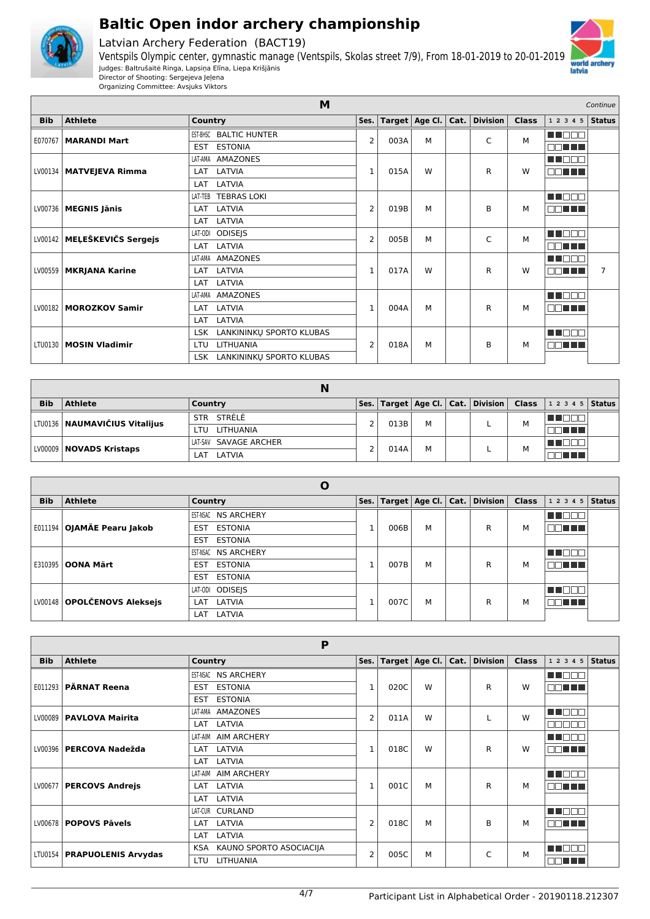

Latvian Archery Federation (BACT19)





|            | M<br>Continue            |                                        |                |      |   |   |                                    |              |                |                |
|------------|--------------------------|----------------------------------------|----------------|------|---|---|------------------------------------|--------------|----------------|----------------|
| <b>Bib</b> | <b>Athlete</b>           | Country                                | Ses.           |      |   |   | Target   Age Cl.   Cat.   Division | <b>Class</b> | 1 2 3 4 5      | <b>Status</b>  |
| E070767    | <b>MARANDI Mart</b>      | <b>BALTIC HUNTER</b><br>EST-BHSC       | 2              | 003A | М |   | C                                  | М            | n i Belg       |                |
|            |                          | <b>ESTONIA</b><br><b>EST</b>           |                |      |   |   |                                    |              | <u>oo ah a</u> |                |
|            |                          | <b>AMAZONES</b><br>LAT-AMA             |                |      |   |   |                                    |              | N N N N N      |                |
| LV00134    | <b>MATVEJEVA Rimma</b>   | LATVIA<br>LAT                          | 1              | 015A | W |   | R                                  | W            | MAN TIT        |                |
|            |                          | LATVIA<br>LAT                          |                |      |   |   |                                    |              |                |                |
|            |                          | <b>TEBRAS LOKI</b><br>LAT-TEB          |                |      |   |   |                                    |              | MT OO O        |                |
|            | LV00736   MEGNIS Jānis   | LAT LATVIA                             | $\overline{2}$ | 019B | М |   | B                                  | М            | aa mini        |                |
|            |                          | LAT LATVIA                             |                |      |   |   |                                    |              |                |                |
| LV00142    | MEĻEŠKEVIČS Sergejs      | LAT-ODI ODISEJS                        | $\overline{2}$ | 005B | М |   | C                                  | M            | MA DE LA       |                |
|            |                          | LAT LATVIA                             |                |      |   |   |                                    |              | OO TITLE       |                |
|            |                          | LAT-AMA AMAZONES                       |                |      |   |   |                                    |              | N NO DO        |                |
|            | LV00559   MKRJANA Karine | LAT LATVIA                             | $\mathbf{1}$   | 017A | W |   | R                                  | W            | MA TILL        | $\overline{7}$ |
|            |                          | LATVIA<br>LAT                          |                |      |   |   |                                    |              |                |                |
|            |                          | <b>AMAZONES</b><br>LAT-AMA             |                |      |   |   |                                    |              | n noon         |                |
| LV00182    | <b>MOROZKOV Samir</b>    | LAT LATVIA                             | 1              | 004A | М |   | R                                  | м            | <b>DOMINI</b>  |                |
|            |                          | LAT LATVIA                             |                |      |   |   |                                    |              |                |                |
|            |                          | LSK LANKININKŲ SPORTO KLUBAS           |                |      |   |   |                                    |              | M BEA          |                |
| LTU0130    | <b>MOSIN Vladimir</b>    | LITHUANIA<br><b>LTU</b>                | 2              | 018A | М | B |                                    | М            | 88 T T         |                |
|            |                          | LANKININKU SPORTO KLUBAS<br><b>LSK</b> |                |      |   |   |                                    |              |                |                |

|            |                                 | N                      |      |      |   |                                            |   |                    |  |
|------------|---------------------------------|------------------------|------|------|---|--------------------------------------------|---|--------------------|--|
| <b>Bib</b> | <b>Athlete</b>                  | Country                | Ses. |      |   | Target   Age Cl.   Cat.   Division   Class |   | 1 2 3 4 5   Status |  |
|            | LTU0136   NAUMAVIČIUS Vitalijus | STRĖLĖ<br><b>STR</b>   | 2    | 013B | м |                                            | М | ▉⊔⊔                |  |
|            |                                 | <b>LITHUANIA</b><br>πu |      |      |   |                                            |   | an ma              |  |
|            | LV00009   NOVADS Kristaps       | LAT-SAV SAVAGE ARCHER  | 2    | 014A | м |                                            | М |                    |  |
|            |                                 | LATVIA<br>LAT          |      |      |   |                                            |   | 70 O O             |  |

|            |                             | O                            |      |   |   |                                           |              |          |        |
|------------|-----------------------------|------------------------------|------|---|---|-------------------------------------------|--------------|----------|--------|
| <b>Bib</b> | <b>Athlete</b>              | Country                      |      |   |   | Ses.   Target   Age Cl.   Cat.   Division | <b>Class</b> | 12345    | Status |
|            |                             | EST-NSAC NS ARCHERY          |      |   |   |                                           |              |          |        |
| E011194    | OJAMÄE Pearu Jakob          | <b>ESTONIA</b><br>EST        | 006B | М |   | R                                         | М            | TE HELL  |        |
|            |                             | <b>ESTONIA</b><br><b>EST</b> |      |   |   |                                           |              |          |        |
|            |                             | EST-NSAC NS ARCHERY          |      |   |   | R                                         |              | UN FIFIT |        |
| E310395    | <b>OONA Märt</b>            | <b>ESTONIA</b><br><b>EST</b> | 007B | М |   |                                           | м            | TELET    |        |
|            |                             | <b>ESTONIA</b><br><b>EST</b> |      |   |   |                                           |              |          |        |
|            |                             | ODISEJS<br>LAT-ODI           |      |   |   |                                           |              |          |        |
|            | LV00148 OPOLČENOVS Aleksejs | LATVIA<br>LAT                | 007C | М | R |                                           | м            | 70 O O O |        |
|            |                             | LATVIA<br>LAT                |      |   |   |                                           |              |          |        |

|            |                               | P                              |              |                |                  |      |                 |              |                                                   |
|------------|-------------------------------|--------------------------------|--------------|----------------|------------------|------|-----------------|--------------|---------------------------------------------------|
| <b>Bib</b> | <b>Athlete</b>                | Country                        | Ses. $ $     |                | Target   Age Cl. | Cat. | <b>Division</b> | <b>Class</b> | Status<br>1 2 3 4 5                               |
|            |                               | <b>NS ARCHERY</b><br>EST-NSAC  |              |                |                  |      |                 |              | M DI                                              |
| E011293    | <b>PÄRNAT Reena</b>           | <b>ESTONIA</b><br><b>EST</b>   | 1            | 020C           | W                |      | R               | W            | MA TITLE                                          |
|            |                               | <b>ESTONIA</b><br><b>EST</b>   |              |                |                  |      |                 |              |                                                   |
|            | LV00089   PAVLOVA Mairita     | AMAZONES<br>LAT-AMA            | 2            | 011A           | W                |      |                 | W            | MA OO I                                           |
|            |                               | LATVIA<br>LAT                  |              |                |                  |      |                 |              | mг<br>┓                                           |
|            |                               | <b>AIM ARCHERY</b><br>LAT-AIM  |              |                |                  |      |                 |              | n di T                                            |
|            | LV00396   PERCOVA Nadežda     | LATVIA<br>LAT                  | 1            | 018C           | W                |      | R               | W            | a kacamatan ing Kabupatén Kabupatén<br>mг<br>- Tr |
|            |                               | LAT<br>LATVIA                  |              |                |                  |      |                 |              |                                                   |
|            |                               | <b>AIM ARCHERY</b><br>LAT-AIM  |              |                |                  |      |                 |              | n di Di                                           |
| LV00677    | <b>PERCOVS Andrejs</b>        | LATVIA<br><b>LAT</b>           | $\mathbf{1}$ | 001C           | м                |      | R               | М            | MA TITLE                                          |
|            |                               | LATVIA<br><b>LAT</b>           |              |                |                  |      |                 |              |                                                   |
|            |                               | LAT-CUR CURLAND                |              |                |                  |      |                 |              | ma sa f                                           |
| LV00678    | <b>POPOVS Pävels</b>          | LATVIA<br><b>LAT</b>           | 2            | 018C           | М                |      | B               | м            | MM TIN                                            |
|            |                               | LATVIA<br><b>LAT</b>           |              |                |                  |      |                 |              |                                                   |
|            | LTU0154   PRAPUOLENIS Arvydas | KAUNO SPORTO ASOCIACIJA<br>KSA |              |                | M<br>005C        |      | C               | M            | la la mi                                          |
|            |                               | <b>LITHUANIA</b><br>LTU        |              | $\overline{2}$ |                  |      |                 |              | MONT H                                            |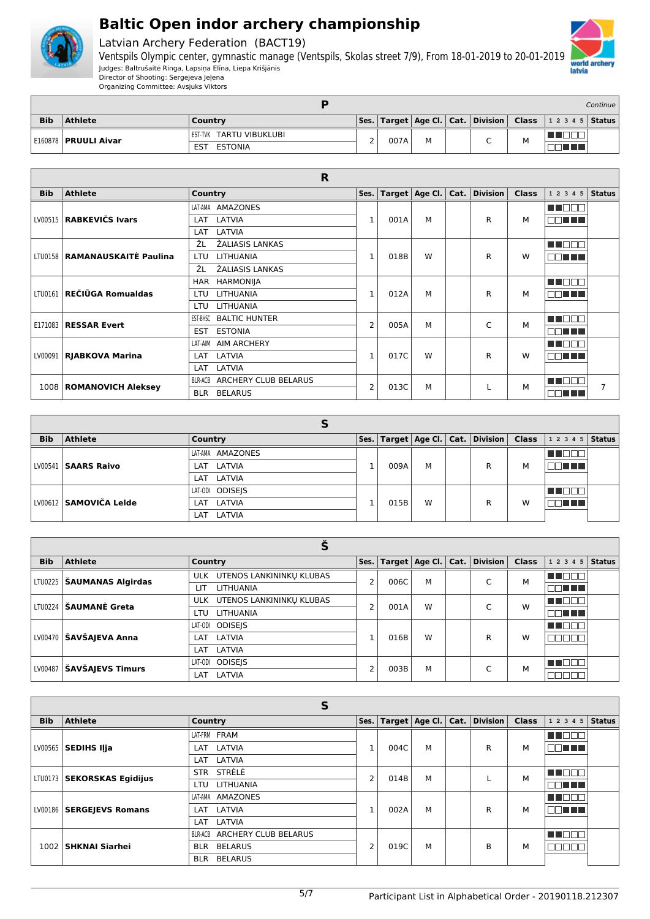



Latvian Archery Federation (BACT19)

Ventspils Olympic center, gymnastic manage (Ventspils, Skolas street 7/9), From 18-01-2019 to 20-01-2019 Judges: Baltrušaitė Ringa, Lapsiņa Elīna, Liepa Krišjānis Director of Shooting: Sergejeva Jeļena

|            |                        |                         |      |      |  |   |                                                                         | Continue |
|------------|------------------------|-------------------------|------|------|--|---|-------------------------------------------------------------------------|----------|
| <b>Bib</b> | <b>Athlete</b>         | Country                 | Ses. |      |  |   | $\vert$ Target   Age Cl.   Cat.   Division   Class   1 2 3 4 5   Status |          |
|            | E160878   PRUULI Aivar | EST-TVK TARTU VIBUKLUBI |      | 007A |  |   |                                                                         |          |
|            |                        | EST<br><b>ESTONIA</b>   | ▃    |      |  | ◡ |                                                                         |          |

|            |                                 | R                                             |                |      |                  |      |                 |              |                  |  |
|------------|---------------------------------|-----------------------------------------------|----------------|------|------------------|------|-----------------|--------------|------------------|--|
| <b>Bib</b> | <b>Athlete</b>                  | Country                                       | Ses.           |      | Target   Age Cl. | Cat. | <b>Division</b> | <b>Class</b> | $12345$ Status   |  |
|            |                                 | <b>AMAZONES</b><br>LAT-AMA                    |                |      |                  |      |                 |              | MU OO O          |  |
|            | LV00515   RABKEVIČS Ivars       | LATVIA<br><b>LAT</b>                          | $\mathbf 1$    | 001A | м                |      | R               | м            | <b>DBIT TI</b>   |  |
|            |                                 | LATVIA<br>LAT                                 |                |      |                  |      |                 |              |                  |  |
|            |                                 | ŽL<br>ŽALIASIS LANKAS                         |                |      |                  |      |                 |              | n de e           |  |
|            | LTU0158   RAMANAUSKAITĖ Paulina | <b>LITHUANIA</b><br>LTU                       | 1              | 018B | W                |      | R               | W            | nn nn n          |  |
|            |                                 | ŽL<br>ŽALIASIS LANKAS                         |                |      |                  |      |                 |              |                  |  |
|            |                                 | <b>HARMONIJA</b><br>HAR                       |                |      |                  |      |                 |              | n na man         |  |
|            | LTU0161   REČIŪGA Romualdas     | LITHUANIA<br>LTU                              | 1              | 012A | м                |      | R               | м            | nn a b           |  |
|            |                                 | <b>LITHUANIA</b><br>LTU                       |                |      |                  |      |                 |              |                  |  |
|            | E171083   RESSAR Evert          | <b>BALTIC HUNTER</b><br>EST-BHSC              | $\overline{2}$ | 005A | M                |      |                 | М            | n nooc           |  |
|            |                                 | <b>ESTONIA</b><br>EST                         |                |      |                  |      | C               |              | an no            |  |
|            |                                 | LAT-AIM<br><b>AIM ARCHERY</b>                 |                |      |                  |      |                 |              | man ma           |  |
|            | LV00091   RJABKOVA Marina       | LATVIA<br><b>LAT</b>                          | 1              | 017C | W                |      | R               | W            | <b>FIFTH THE</b> |  |
|            |                                 | LATVIA<br>LAT                                 |                |      |                  |      |                 |              |                  |  |
|            |                                 | <b>ARCHERY CLUB BELARUS</b><br><b>BLR-ACB</b> | 2              |      | М                |      | М               | n na man     |                  |  |
|            | 1008   ROMANOVICH Aleksey       | <b>BELARUS</b><br><b>BLR</b>                  |                | 013C |                  |      |                 |              | nn an            |  |

| <b>Bib</b> | <b>Athlete</b>         | Country                 | Ses. |      |        | $\mid$ Target $\mid$ Age Cl. $\mid$ Cat. $\mid$ Division $\mid$ Class $\mid$ |   | $12345$ Status |  |
|------------|------------------------|-------------------------|------|------|--------|------------------------------------------------------------------------------|---|----------------|--|
|            |                        | LAT-AMA AMAZONES        |      |      |        |                                                                              |   |                |  |
|            | LV00541   SAARS Raivo  | LAT LATVIA              |      | 009A | M      | R                                                                            | м | MA HELL        |  |
|            |                        | LAT LATVIA              |      |      |        |                                                                              |   |                |  |
|            |                        | LAT-ODI ODISEJS         |      |      |        |                                                                              |   | a kata         |  |
|            | LV00612 SAMOVIČA Leide | LAT LATVIA<br>W<br>015B | R    | W    | T FIFT |                                                                              |   |                |  |
|            |                        | LATVIA<br>LAT           |      |      |        |                                                                              |   |                |  |

| <b>Bib</b> | <b>Athlete</b>                     | Country                                | Ses.         |      |   |            | Target   Age Cl.   Cat.   Division | <b>Class</b> | 1 2 3 4 5    | <b>Status</b> |  |
|------------|------------------------------------|----------------------------------------|--------------|------|---|------------|------------------------------------|--------------|--------------|---------------|--|
|            | LTU0225 <b>  ŠAUMANAS Algirdas</b> | UTENOS LANKININKU KLUBAS<br><b>ULK</b> | 2            | 006C | M |            | $\sqrt{2}$                         | М            |              |               |  |
|            |                                    | <b>LITHUANIA</b><br>LП                 |              |      |   |            |                                    |              | N N N N N    |               |  |
|            | LTU0224 <b>SAUMANĖ Greta</b>       | UTENOS LANKININKU KLUBAS<br>ULK        | 2            | 001A | W |            | $\sqrt{2}$                         | W            | 3 8 8 8 8    |               |  |
|            |                                    | <b>LITHUANIA</b><br>LTU.               |              |      |   |            |                                    |              | <b>OD HE</b> |               |  |
|            |                                    | LAT-ODI ODISEIS                        |              |      |   |            |                                    |              | M DOC        |               |  |
|            | LV00470 SAVŠAJEVA Anna             | LATVIA<br>LAT                          |              | 016B | W |            | R                                  | W            | عالما لمال   |               |  |
|            |                                    | LATVIA<br>LAT                          |              |      |   |            |                                    |              |              |               |  |
| LV00487    | <b>ŠAVŠAJEVS Timurs</b>            | ODISEJS<br>LAT-ODI                     | <sup>-</sup> | 003B | M | $\sqrt{2}$ |                                    | M            | N NO O O     |               |  |
|            |                                    | LATVIA<br>LAT                          |              |      |   |            |                                    |              |              |               |  |

|            | Э                            |                              |                |      |                        |  |                           |              |                |  |  |  |
|------------|------------------------------|------------------------------|----------------|------|------------------------|--|---------------------------|--------------|----------------|--|--|--|
| <b>Bib</b> | <b>Athlete</b>               | Country                      | Ses.           |      | Target $ $ Age Cl. $ $ |  | $ $ Cat. $ $ Division $ $ | <b>Class</b> | $12345$ Status |  |  |  |
|            |                              | LAT-FRM FRAM                 |                |      |                        |  |                           |              | M NOOL         |  |  |  |
|            | LV00565   SEDIHS Iļja        | LAT LATVIA                   | $\mathbf{I}$   | 004C | м                      |  | R                         | м            | an na m        |  |  |  |
|            |                              | LAT LATVIA                   |                |      |                        |  |                           |              |                |  |  |  |
|            | LTU0173   SEKORSKAS Egidijus | STRĖLĖ<br><b>STR</b>         | $\overline{2}$ | 014B | М                      |  |                           | М            | <b>TENTIS</b>  |  |  |  |
|            |                              | LITHUANIA<br>LTU.            |                |      |                        |  |                           |              | nn an a        |  |  |  |
|            |                              | AMAZONES<br>LAT-AMA          |                |      |                        |  |                           |              | n di T         |  |  |  |
|            | LV00186   SERGEJEVS Romans   | LAT LATVIA                   | 1              | 002A | М                      |  | R                         | М            | ma ma<br>┓     |  |  |  |
|            |                              | LAT LATVIA                   |                |      |                        |  |                           |              |                |  |  |  |
|            |                              | BLR-ACB ARCHERY CLUB BELARUS |                |      |                        |  |                           |              | T FIF          |  |  |  |
| 1002       | <b>SHKNAI Siarhei</b>        | <b>BELARUS</b><br><b>BLR</b> | $\overline{2}$ | 019C | М                      |  | В                         | м            | ╗              |  |  |  |
|            |                              | <b>BELARUS</b><br><b>BLR</b> |                |      |                        |  |                           |              |                |  |  |  |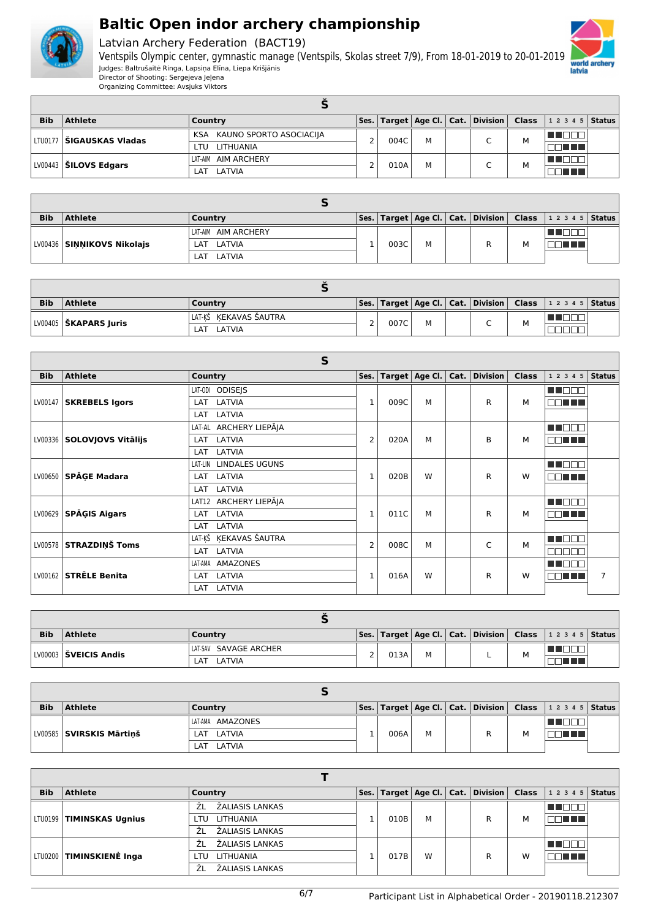

Latvian Archery Federation (BACT19)



| <b>Bib</b> | <b>Athlete</b>                        | Country                         |  |      |   |  | $ $ Ses. $ $ Target $ $ Age Cl. $ $ Cat. $ $ Division $ $ Class |   | $12345$ Status |  |
|------------|---------------------------------------|---------------------------------|--|------|---|--|-----------------------------------------------------------------|---|----------------|--|
|            | LTV0177 <b>  ŠIGAUSKAS Vladas</b>     | KAUNO SPORTO ASOCIACIJA<br>KSA. |  |      |   |  | $\sqrt{2}$                                                      | М |                |  |
|            |                                       | LITHUANIA<br>I TU.              |  | 004C | м |  |                                                                 |   | 90 T T T       |  |
|            | $\vert$ LV00443 $\vert$ ŠILOVS Edgars | AIM ARCHERY<br>LAT-AIM          |  | 010A | M |  | $\sqrt{2}$                                                      | M |                |  |
|            |                                       | LATVIA<br>I AT                  |  |      |   |  |                                                                 |   | <b>THEFA</b>   |  |

| <b>Bib</b> | <b>Athlete</b>             | Country             |      |   |  | Ses.   Target   Age Cl.   Cat.   Division   Class   1 2 3 4 5   Status |  |
|------------|----------------------------|---------------------|------|---|--|------------------------------------------------------------------------|--|
|            |                            | LAT-AIM AIM ARCHERY |      |   |  |                                                                        |  |
|            | LV00436 SINNIKOVS Nikolajs | LAT LATVIA          | 003C | M |  |                                                                        |  |
|            |                            | LAT LATVIA          |      |   |  |                                                                        |  |

| <b>Bib</b> | <b>Athlete</b>                 | Country                |  |      |   |  |                               |   | Ses.   Target   Age Cl.   Cat.   Division   Class   1 2 3 4 5   Status |  |  |  |
|------------|--------------------------------|------------------------|--|------|---|--|-------------------------------|---|------------------------------------------------------------------------|--|--|--|
|            | LV00405 <b>  ŠKAPARS Juris</b> | 'LAT-KŠ KEKAVAS ŠAUTRA |  | 007C | M |  | $\overline{\phantom{0}}$<br>◡ | м | 70 D F                                                                 |  |  |  |
|            |                                | LATVIA<br>LAT          |  |      |   |  |                               |   |                                                                        |  |  |  |

|            | S                            |                                  |                |      |                  |      |          |              |                  |                |  |
|------------|------------------------------|----------------------------------|----------------|------|------------------|------|----------|--------------|------------------|----------------|--|
| <b>Bib</b> | <b>Athlete</b>               | Country                          | Ses.           |      | Target   Age Cl. | Cat. | Division | <b>Class</b> | 1 2 3 4 5        | Status         |  |
|            |                              | LAT-ODI ODISEJS                  |                |      |                  |      |          |              | m m              |                |  |
| LV00147    | <b>SKREBELS Igors</b>        | LATVIA<br>LAT                    | 1              | 009C | M                |      | R        | М            | man a s          |                |  |
|            |                              | LATVIA<br>LAT                    |                |      |                  |      |          |              |                  |                |  |
|            |                              | LAT-AL ARCHERY LIEPĀJA           |                | 020A |                  |      |          |              | <b>HERRI</b>     |                |  |
|            | LV00336   SOLOVJOVS Vitālijs | LATVIA<br>LAT                    | $\overline{2}$ |      | M                |      | B        | М            | MA TITLE         |                |  |
|            |                              | LATVIA<br>LAT                    |                |      |                  |      |          |              |                  |                |  |
|            | LV00650 SPĀGE Madara         | LAT-LIN<br><b>LINDALES UGUNS</b> | $\mathbf{1}$   |      |                  |      |          |              | MA NATI          |                |  |
|            |                              | LAT LATVIA                       |                | 020B | W                |      | R        | W            | nn nn n          |                |  |
|            |                              | LATVIA<br>LAT                    |                |      |                  |      |          |              |                  |                |  |
|            |                              | LAT12 ARCHERY LIEPĀJA            |                |      |                  |      |          |              | <b>TERRIT</b>    |                |  |
| LV00629    | <b>SPĀGIS Aigars</b>         | LATVIA<br>LAT                    | $\mathbf{1}$   | 011C | M                |      | R        | М            | mı<br>70 O O     |                |  |
|            |                              | LATVIA<br>LAT                    |                |      |                  |      |          |              |                  |                |  |
|            | LV00578 STRAZDINŠ Toms       | LAT-KŠ ĶEKAVAS ŠAUTRA            | $\overline{2}$ | 008C | M                |      | Ċ        | M            | n di T           |                |  |
|            |                              | LATVIA<br>LAT                    |                |      |                  |      |          |              | nnnn             |                |  |
|            |                              | AMAZONES<br>LAT-AMA              |                |      |                  |      |          |              | <b>HENDI</b>     |                |  |
| LV00162    | <b>STRELE Benita</b>         | LATVIA<br>LAT                    | $\overline{1}$ | 016A | W                |      | R        | W            | TI TI EL<br>וך י | $\overline{7}$ |  |
|            |                              | LATVIA<br>LAT                    |                |      |                  |      |          |              |                  |                |  |

| <b>Bib</b> | <b>Athlete</b>        | Country               |    |      |   |  |  |   | Ses.   Target   Age Cl.   Cat.   Division   Class   1 2 3 4 5   Status |  |  |
|------------|-----------------------|-----------------------|----|------|---|--|--|---|------------------------------------------------------------------------|--|--|
|            | LV00003 ŠVEICIS Andis | LAT-SAV SAVAGE ARCHER | C. | 013A | М |  |  | M |                                                                        |  |  |
|            |                       | LATVIA<br>LAT         |    |      |   |  |  |   |                                                                        |  |  |

| <b>Bib</b> | <b>Athlete</b>             | Country          |  |      |   |  |  |   | $ \mathsf{Ses.} \mathsf{Target} \mathsf{Age}\mathsf{Cl.} \mathsf{Cat.} \mathsf{Division} \mathsf{Class} $ 12345   Status |  |  |
|------------|----------------------------|------------------|--|------|---|--|--|---|--------------------------------------------------------------------------------------------------------------------------|--|--|
|            | LV00585   SVIRSKIS Mārtinš | LAT-AMA AMAZONES |  |      |   |  |  |   |                                                                                                                          |  |  |
|            |                            | LAT LATVIA       |  | 006A | M |  |  | M |                                                                                                                          |  |  |
|            |                            | LATVIA<br>_AT    |  |      |   |  |  |   |                                                                                                                          |  |  |

| <b>Bib</b> | <b>Athlete</b>             | Country               |  |      |   |  | Ses.   Target   Age Cl.   Cat.   Division   Class |   | $12345$ Status |  |  |
|------------|----------------------------|-----------------------|--|------|---|--|---------------------------------------------------|---|----------------|--|--|
|            |                            | ŽALIASIS LANKAS<br>ŹL |  | 010B |   |  |                                                   |   |                |  |  |
|            | LTU0199   TIMINSKAS Ugnius | LITHUANIA<br>LTU      |  |      | M |  | R                                                 | М | E E E E E      |  |  |
|            |                            | ŽALIASIS LANKAS<br>ŹL |  |      |   |  |                                                   |   |                |  |  |
|            | LTU0200   TIMINSKIENĖ Inga | ŽALIASIS LANKAS<br>ŽΙ |  |      |   |  |                                                   |   |                |  |  |
|            |                            | LITHUANIA<br>LTU      |  | 017B | W |  | R                                                 | W | a katika T     |  |  |
|            |                            | ŽALIASIS LANKAS<br>ŹL |  |      |   |  |                                                   |   |                |  |  |